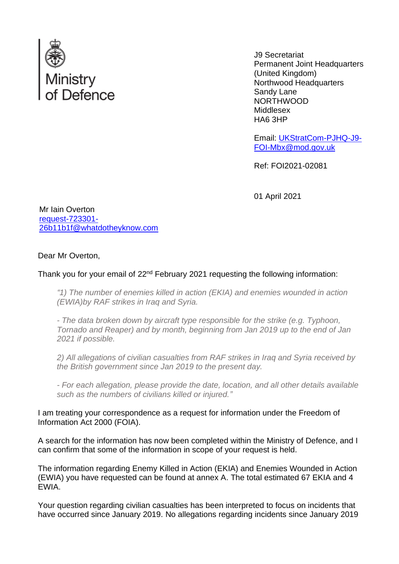

J9 Secretariat Permanent Joint Headquarters (United Kingdom) Northwood Headquarters Sandy Lane NORTHWOOD Middlesex HA6 3HP

Email: [UKStratCom-PJHQ-J9-](mailto:xxxxxxxxxxxxxxxxxxxxxxxxxx@xxx.xxx.xx) [FOI-Mbx@mod.gov.uk](mailto:xxxxxxxxxxxxxxxxxxxxxxxxxx@xxx.xxx.xx)

Ref: FOI2021-02081

01 April 2021

Mr Iain Overton [request-723301-](mailto:xxxxxxxxxxxxxxxxxxxxxxx@xxxxxxxxxxxxxx.xxx) [26b11b1f@whatdotheyknow.com](mailto:xxxxxxxxxxxxxxxxxxxxxxx@xxxxxxxxxxxxxx.xxx)

Dear Mr Overton,

Thank you for your email of 22<sup>nd</sup> February 2021 requesting the following information:

*"1) The number of enemies killed in action (EKIA) and enemies wounded in action (EWIA)by RAF strikes in Iraq and Syria.*

*- The data broken down by aircraft type responsible for the strike (e.g. Typhoon, Tornado and Reaper) and by month, beginning from Jan 2019 up to the end of Jan 2021 if possible.*

*2) All allegations of civilian casualties from RAF strikes in Iraq and Syria received by the British government since Jan 2019 to the present day.*

*- For each allegation, please provide the date, location, and all other details available such as the numbers of civilians killed or injured."*

I am treating your correspondence as a request for information under the Freedom of Information Act 2000 (FOIA).

A search for the information has now been completed within the Ministry of Defence, and I can confirm that some of the information in scope of your request is held.

The information regarding Enemy Killed in Action (EKIA) and Enemies Wounded in Action (EWIA) you have requested can be found at annex A. The total estimated 67 EKIA and 4 EWIA.

Your question regarding civilian casualties has been interpreted to focus on incidents that have occurred since January 2019. No allegations regarding incidents since January 2019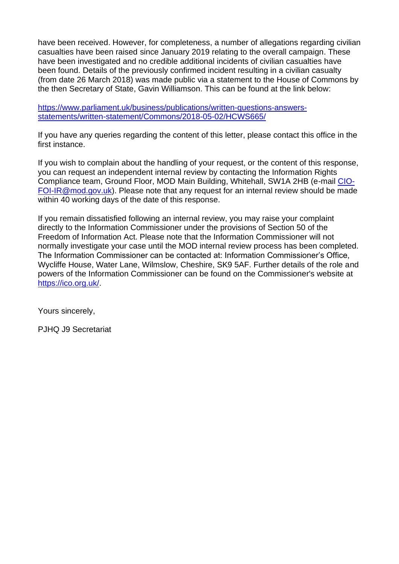have been received. However, for completeness, a number of allegations regarding civilian casualties have been raised since January 2019 relating to the overall campaign. These have been investigated and no credible additional incidents of civilian casualties have been found. Details of the previously confirmed incident resulting in a civilian casualty (from date 26 March 2018) was made public via a statement to the House of Commons by the then Secretary of State, Gavin Williamson. This can be found at the link below:

[https://www.parliament.uk/business/publications/written-questions-answers](https://www.parliament.uk/business/publications/written-questions-answers-statements/written-statement/Commons/2018-05-02/HCWS665/)[statements/written-statement/Commons/2018-05-02/HCWS665/](https://www.parliament.uk/business/publications/written-questions-answers-statements/written-statement/Commons/2018-05-02/HCWS665/)

If you have any queries regarding the content of this letter, please contact this office in the first instance.

If you wish to complain about the handling of your request, or the content of this response, you can request an independent internal review by contacting the Information Rights Compliance team, Ground Floor, MOD Main Building, Whitehall, SW1A 2HB (e-mail [CIO-](mailto:xxxxxxxxxx@xxx.xxx.xx)[FOI-IR@mod.gov.uk\)](mailto:xxxxxxxxxx@xxx.xxx.xx). Please note that any request for an internal review should be made within 40 working days of the date of this response.

If you remain dissatisfied following an internal review, you may raise your complaint directly to the Information Commissioner under the provisions of Section 50 of the Freedom of Information Act. Please note that the Information Commissioner will not normally investigate your case until the MOD internal review process has been completed. The Information Commissioner can be contacted at: Information Commissioner's Office, Wycliffe House, Water Lane, Wilmslow, Cheshire, SK9 5AF. Further details of the role and powers of the Information Commissioner can be found on the Commissioner's website at [https://ico.org.uk/.](https://ico.org.uk/)

Yours sincerely,

PJHQ J9 Secretariat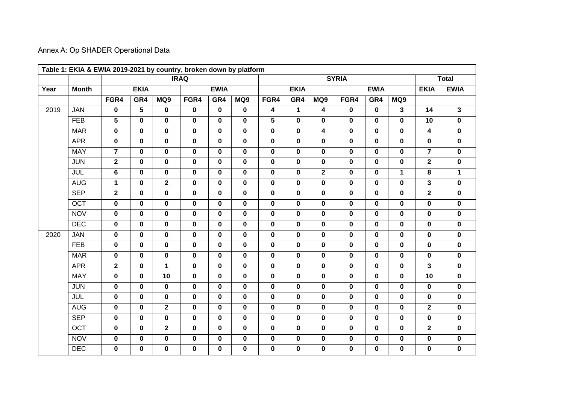## Annex A: Op SHADER Operational Data

| Year | <b>Month</b> | <b>IRAQ</b>             |             |                         |             |              |             |                         | <b>SYRIA</b> |                         |             |             |                         |                         |                         |
|------|--------------|-------------------------|-------------|-------------------------|-------------|--------------|-------------|-------------------------|--------------|-------------------------|-------------|-------------|-------------------------|-------------------------|-------------------------|
|      |              |                         | <b>EKIA</b> |                         | <b>EWIA</b> |              |             | <b>EKIA</b>             |              |                         | <b>EWIA</b> |             |                         | <b>EKIA</b>             | <b>EWIA</b>             |
|      |              | FGR4                    | GR4         | MQ9                     | FGR4        | GR4          | MQ9         | FGR4                    | GR4          | MQ9                     | FGR4        | GR4         | MQ9                     |                         |                         |
| 2019 | <b>JAN</b>   | $\mathbf 0$             | 5           | $\mathbf 0$             | 0           | $\mathbf 0$  | $\mathbf 0$ | $\overline{\mathbf{4}}$ | $\mathbf{1}$ | 4                       | $\mathbf 0$ | $\mathbf 0$ | $\mathbf{3}$            | $\overline{14}$         | $\overline{\mathbf{3}}$ |
|      | <b>FEB</b>   | $5\phantom{.0}$         | 0           | $\mathbf 0$             | 0           | 0            | 0           | 5                       | $\mathbf 0$  | 0                       | $\mathbf 0$ | 0           | $\mathbf 0$             | 10                      | 0                       |
|      | <b>MAR</b>   | $\overline{\mathbf{0}}$ | $\mathbf 0$ | $\mathbf 0$             | $\mathbf 0$ | $\mathbf 0$  | $\mathbf 0$ | $\overline{\mathbf{0}}$ | $\mathbf 0$  | $\overline{\mathbf{4}}$ | $\mathbf 0$ | $\mathbf 0$ | $\overline{\mathbf{0}}$ | $\overline{4}$          | $\pmb{0}$               |
|      | <b>APR</b>   | $\mathbf 0$             | $\mathbf 0$ | 0                       | $\mathbf 0$ | $\mathbf 0$  | $\mathbf 0$ | $\mathbf 0$             | $\mathbf 0$  | $\mathbf 0$             | $\mathbf 0$ | $\mathbf 0$ | $\mathbf 0$             | 0                       | 0                       |
|      | <b>MAY</b>   | $\overline{7}$          | $\mathbf 0$ | 0                       | $\mathbf 0$ | $\mathbf 0$  | $\mathbf 0$ | $\mathbf 0$             | $\mathbf 0$  | $\mathbf 0$             | $\mathbf 0$ | 0           | $\mathbf 0$             | $\overline{7}$          | $\pmb{0}$               |
|      | <b>JUN</b>   | $\mathbf{2}$            | $\mathbf 0$ | $\mathbf 0$             | $\mathbf 0$ | $\mathbf 0$  | $\mathbf 0$ | $\mathbf 0$             | $\mathbf 0$  | 0                       | $\mathbf 0$ | $\mathbf 0$ | $\mathbf 0$             | $\overline{2}$          | $\pmb{0}$               |
|      | <b>JUL</b>   | $6\phantom{1}$          | $\mathbf 0$ | 0                       | $\mathbf 0$ | $\mathbf{0}$ | $\mathbf 0$ | $\mathbf 0$             | $\mathbf 0$  | $\overline{2}$          | $\mathbf 0$ | $\mathbf 0$ | $\mathbf{1}$            | 8                       | $\mathbf 1$             |
|      | <b>AUG</b>   | $\mathbf{1}$            | $\mathbf 0$ | $\overline{\mathbf{2}}$ | $\mathbf 0$ | $\mathbf 0$  | $\pmb{0}$   | $\mathbf 0$             | $\mathbf 0$  | 0                       | $\mathbf 0$ | 0           | $\mathbf 0$             | 3                       | $\pmb{0}$               |
|      | <b>SEP</b>   | $\mathbf{2}$            | $\mathbf 0$ | $\mathbf 0$             | 0           | $\mathbf 0$  | $\mathbf 0$ | $\mathbf 0$             | $\mathbf 0$  | $\mathbf 0$             | $\mathbf 0$ | $\mathbf 0$ | $\mathbf 0$             | $\overline{2}$          | $\pmb{0}$               |
|      | OCT          | $\mathbf 0$             | $\mathbf 0$ | 0                       | $\mathbf 0$ | $\mathbf 0$  | $\mathbf 0$ | $\mathbf 0$             | $\mathbf 0$  | $\mathbf 0$             | $\mathbf 0$ | $\mathbf 0$ | $\mathbf 0$             | $\mathbf 0$             | $\pmb{0}$               |
|      | <b>NOV</b>   | $\mathbf 0$             | 0           | $\mathbf 0$             | $\mathbf 0$ | 0            | $\mathbf 0$ | $\mathbf 0$             | $\mathbf 0$  | 0                       | $\mathbf 0$ | 0           | $\mathbf 0$             | 0                       | 0                       |
|      | <b>DEC</b>   | $\mathbf 0$             | $\mathbf 0$ | $\mathbf 0$             | 0           | $\mathbf 0$  | $\mathbf 0$ | $\mathbf 0$             | $\mathbf 0$  | 0                       | $\mathbf 0$ | $\mathbf 0$ | $\pmb{0}$               | $\mathbf 0$             | $\pmb{0}$               |
| 2020 | <b>JAN</b>   | $\mathbf 0$             | $\mathbf 0$ | 0                       | $\mathbf 0$ | $\mathbf{0}$ | $\mathbf 0$ | $\mathbf 0$             | $\mathbf 0$  | $\mathbf{0}$            | $\mathbf 0$ | $\mathbf 0$ | $\mathbf 0$             | $\mathbf 0$             | 0                       |
|      | <b>FEB</b>   | $\mathbf 0$             | $\mathbf 0$ | 0                       | $\mathbf 0$ | $\mathbf 0$  | $\mathbf 0$ | $\mathbf 0$             | $\mathbf 0$  | $\mathbf 0$             | $\mathbf 0$ | $\mathbf 0$ | $\mathbf 0$             | $\mathbf 0$             | $\pmb{0}$               |
|      | <b>MAR</b>   | $\pmb{0}$               | 0           | 0                       | 0           | $\mathbf 0$  | $\pmb{0}$   | $\mathbf 0$             | $\mathbf 0$  | 0                       | $\pmb{0}$   | $\pmb{0}$   | $\mathbf 0$             | 0                       | $\pmb{0}$               |
|      | <b>APR</b>   | $\overline{2}$          | $\mathbf 0$ | $\mathbf{1}$            | $\mathbf 0$ | $\mathbf{0}$ | $\mathbf 0$ | $\mathbf 0$             | $\mathbf 0$  | $\mathbf{0}$            | $\mathbf 0$ | $\mathbf 0$ | $\mathbf 0$             | $\overline{3}$          | $\pmb{0}$               |
|      | <b>MAY</b>   | $\mathbf 0$             | 0           | 10                      | $\mathbf 0$ | 0            | 0           | $\mathbf 0$             | $\mathbf 0$  | 0                       | $\mathbf 0$ | 0           | $\mathbf 0$             | 10                      | 0                       |
|      | <b>JUN</b>   | $\mathbf 0$             | $\mathbf 0$ | $\mathbf 0$             | 0           | $\mathbf 0$  | $\mathbf 0$ | $\mathbf 0$             | $\mathbf 0$  | $\mathbf 0$             | $\mathbf 0$ | $\mathbf 0$ | $\mathbf 0$             | $\mathbf 0$             | 0                       |
|      | <b>JUL</b>   | $\mathbf 0$             | $\mathbf 0$ | $\mathbf 0$             | $\mathbf 0$ | $\mathbf 0$  | $\mathbf 0$ | $\mathbf 0$             | $\mathbf 0$  | $\mathbf{0}$            | $\mathbf 0$ | $\mathbf 0$ | $\mathbf 0$             | $\mathbf 0$             | $\pmb{0}$               |
|      | <b>AUG</b>   | $\mathbf 0$             | $\mathbf 0$ | $\overline{\mathbf{2}}$ | $\mathbf 0$ | $\mathbf 0$  | $\mathbf 0$ | $\mathbf 0$             | $\mathbf 0$  | $\mathbf 0$             | $\mathbf 0$ | $\mathbf 0$ | $\mathbf 0$             | $\overline{\mathbf{2}}$ | $\pmb{0}$               |
|      | <b>SEP</b>   | $\pmb{0}$               | $\pmb{0}$   | 0                       | 0           | $\mathbf 0$  | $\pmb{0}$   | $\pmb{0}$               | $\mathbf 0$  | 0                       | $\pmb{0}$   | 0           | $\pmb{0}$               | 0                       | $\pmb{0}$               |
|      | <b>OCT</b>   | $\mathbf 0$             | $\mathbf 0$ | $\overline{2}$          | $\mathbf 0$ | $\mathbf 0$  | $\mathbf 0$ | $\mathbf 0$             | $\mathbf 0$  | $\mathbf{0}$            | $\mathbf 0$ | $\mathbf 0$ | $\mathbf 0$             | $\overline{2}$          | $\pmb{0}$               |
|      | <b>NOV</b>   | $\pmb{0}$               | $\pmb{0}$   | 0                       | 0           | $\mathbf 0$  | $\pmb{0}$   | $\mathbf 0$             | $\mathbf 0$  | 0                       | $\pmb{0}$   | 0           | $\mathbf 0$             | 0                       | $\pmb{0}$               |
|      | <b>DEC</b>   | $\mathbf 0$             | 0           | 0                       | 0           | $\mathbf 0$  | $\mathbf 0$ | $\pmb{0}$               | $\mathbf 0$  | $\mathbf 0$             | $\pmb{0}$   | $\mathbf 0$ | $\pmb{0}$               | 0                       | 0                       |